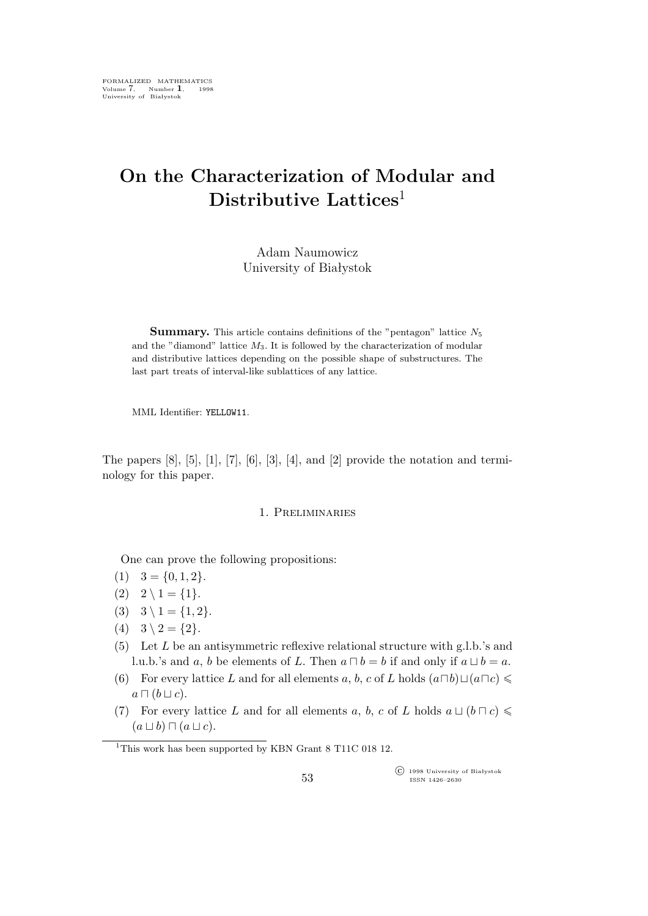# **On the Characterization of Modular and Distributive Lattices**<sup>1</sup>

## Adam Naumowicz University of Białystok

**Summary.** This article contains definitions of the "pentagon" lattice  $N_5$ and the "diamond" lattice  $M_3$ . It is followed by the characterization of modular and distributive lattices depending on the possible shape of substructures. The last part treats of interval-like sublattices of any lattice.

MML Identifier: YELLOW11.

The papers  $[8]$ ,  $[5]$ ,  $[1]$ ,  $[7]$ ,  $[6]$ ,  $[3]$ ,  $[4]$ , and  $[2]$  provide the notation and terminology for this paper.

#### 1. Preliminaries

One can prove the following propositions:

- $(1)$   $3 = \{0, 1, 2\}.$
- $(2)$   $2 \setminus 1 = \{1\}.$
- (3)  $3 \setminus 1 = \{1, 2\}.$
- $(4)$   $3 \setminus 2 = \{2\}.$
- (5) Let  $L$  be an antisymmetric reflexive relational structure with g.l.b.'s and l.u.b.'s and a, b be elements of L. Then  $a \sqcap b = b$  if and only if  $a \sqcup b = a$ .
- (6) For every lattice L and for all elements a, b, c of L holds  $(a \Box b) \Box (a \Box c) \leq$  $a \sqcap (b \sqcup c).$
- (7) For every lattice L and for all elements a, b, c of L holds  $a \sqcup (b \sqcap c) \leq$ (a *⊔* b) *⊓* (a *⊔* c).

°c 1998 University of Białystok ISSN 1426–2630

<sup>&</sup>lt;sup>1</sup>This work has been supported by KBN Grant 8 T11C 018 12.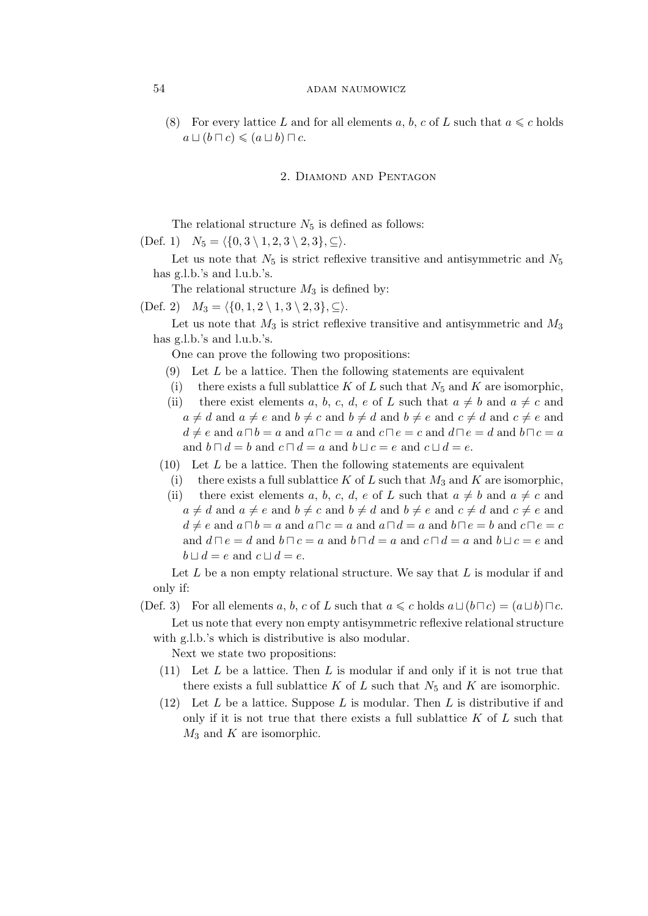## 54 ADAM NAUMOWICZ

(8) For every lattice L and for all elements a, b, c of L such that  $a \leq c$  holds  $a \sqcup (b \sqcap c) \leqslant (a \sqcup b) \sqcap c.$ 

## 2. Diamond and Pentagon

The relational structure  $N_5$  is defined as follows:

 $(Def. 1)$   $N_5 = \langle \{0, 3 \setminus 1, 2, 3 \setminus 2, 3\}, \subseteq \rangle.$ 

Let us note that  $N_5$  is strict reflexive transitive and antisymmetric and  $N_5$ has g.l.b.'s and l.u.b.'s.

The relational structure  $M_3$  is defined by:

 $(Def. 2)$   $M_3 = \langle \{0, 1, 2 \setminus 1, 3 \setminus 2, 3\}, \subseteq \rangle.$ 

Let us note that  $M_3$  is strict reflexive transitive and antisymmetric and  $M_3$ has g.l.b.'s and l.u.b.'s.

One can prove the following two propositions:

- $(9)$  Let L be a lattice. Then the following statements are equivalent
- (i) there exists a full sublattice K of L such that  $N_5$  and K are isomorphic,
- (ii) there exist elements a, b, c, d, e of L such that  $a \neq b$  and  $a \neq c$  and  $a \neq d$  and  $a \neq e$  and  $b \neq c$  and  $b \neq d$  and  $b \neq e$  and  $c \neq d$  and  $c \neq e$  and  $d \neq e$  and  $a \sqcap b = a$  and  $a \sqcap c = a$  and  $c \sqcap e = c$  and  $d \sqcap e = d$  and  $b \sqcap c = a$ and  $b \sqcap d = b$  and  $c \sqcap d = a$  and  $b \sqcup c = e$  and  $c \sqcup d = e$ .
- $(10)$  Let L be a lattice. Then the following statements are equivalent
- (i) there exists a full sublattice K of L such that  $M_3$  and K are isomorphic,
- (ii) there exist elements a, b, c, d, e of L such that  $a \neq b$  and  $a \neq c$  and  $a \neq d$  and  $a \neq e$  and  $b \neq c$  and  $b \neq d$  and  $b \neq e$  and  $c \neq d$  and  $c \neq e$  and  $d \neq e$  and  $a \sqcap b = a$  and  $a \sqcap c = a$  and  $a \sqcap d = a$  and  $b \sqcap e = b$  and  $c \sqcap e = c$ and  $d \sqcap e = d$  and  $b \sqcap c = a$  and  $b \sqcap d = a$  and  $c \sqcap d = a$  and  $b \sqcup c = e$  and  $b \sqcup d = e$  and  $c \sqcup d = e$ .

Let  $L$  be a non empty relational structure. We say that  $L$  is modular if and only if:

(Def. 3) For all elements a, b, c of L such that  $a \leq c$  holds  $a \sqcup (b \sqcap c) = (a \sqcup b) \sqcap c$ .

Let us note that every non empty antisymmetric reflexive relational structure with g.l.b.'s which is distributive is also modular.

Next we state two propositions:

- (11) Let  $L$  be a lattice. Then  $L$  is modular if and only if it is not true that there exists a full sublattice K of L such that  $N_5$  and K are isomorphic.
- (12) Let L be a lattice. Suppose L is modular. Then L is distributive if and only if it is not true that there exists a full sublattice  $K$  of  $L$  such that  $M_3$  and K are isomorphic.